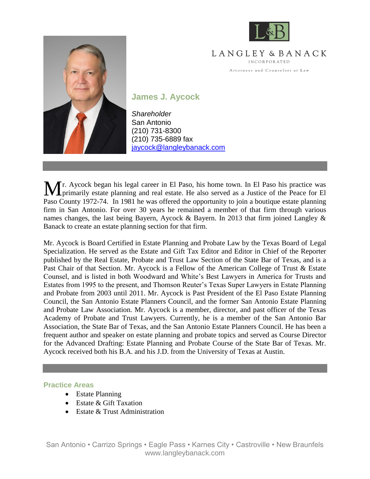

LANGLEY & BANACK INCORPORATED Attorneys and Counselors at Law



**James J. Aycock**

*Shareholder* San Antonio (210) 731-8300 (210) 735-6889 fax [jaycock@langleybanack.com](mailto:jaycock@langleybanack.com)

r. Aycock began his legal career in El Paso, his home town. In El Paso his practice was Mr. Aycock began his legal career in El Paso, his home town. In El Paso his practice was primarily estate planning and real estate. He also served as a Justice of the Peace for El Paso County 1972-74. In 1981 he was offered the opportunity to join a boutique estate planning firm in San Antonio. For over 30 years he remained a member of that firm through various names changes, the last being Bayern, Aycock & Bayern. In 2013 that firm joined Langley & Banack to create an estate planning section for that firm.

Mr. Aycock is Board Certified in Estate Planning and Probate Law by the Texas Board of Legal Specialization. He served as the Estate and Gift Tax Editor and Editor in Chief of the Reporter published by the Real Estate, Probate and Trust Law Section of the State Bar of Texas, and is a Past Chair of that Section. Mr. Aycock is a Fellow of the American College of Trust & Estate Counsel, and is listed in both Woodward and White's Best Lawyers in America for Trusts and Estates from 1995 to the present, and Thomson Reuter's Texas Super Lawyers in Estate Planning and Probate from 2003 until 2011. Mr. Aycock is Past President of the El Paso Estate Planning Council, the San Antonio Estate Planners Council, and the former San Antonio Estate Planning and Probate Law Association. Mr. Aycock is a member, director, and past officer of the Texas Academy of Probate and Trust Lawyers. Currently, he is a member of the San Antonio Bar Association, the State Bar of Texas, and the San Antonio Estate Planners Council. He has been a frequent author and speaker on estate planning and probate topics and served as Course Director for the Advanced Drafting: Estate Planning and Probate Course of the State Bar of Texas. Mr. Aycock received both his B.A. and his J.D. from the University of Texas at Austin.

#### **Practice Areas**

- Estate Planning
- Estate & Gift Taxation
- Estate  $&$  Trust Administration